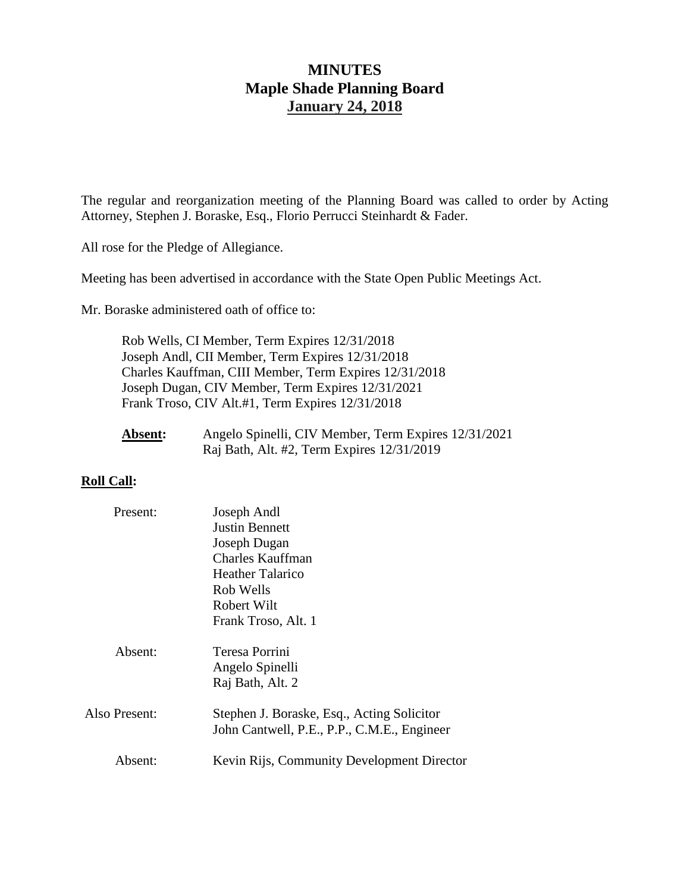# **MINUTES Maple Shade Planning Board January 24, 2018**

The regular and reorganization meeting of the Planning Board was called to order by Acting Attorney, Stephen J. Boraske, Esq., Florio Perrucci Steinhardt & Fader.

All rose for the Pledge of Allegiance.

Meeting has been advertised in accordance with the State Open Public Meetings Act.

Mr. Boraske administered oath of office to:

Rob Wells, CI Member, Term Expires 12/31/2018 Joseph Andl, CII Member, Term Expires 12/31/2018 Charles Kauffman, CIII Member, Term Expires 12/31/2018 Joseph Dugan, CIV Member, Term Expires 12/31/2021 Frank Troso, CIV Alt.#1, Term Expires 12/31/2018

| <b>Absent:</b> | Angelo Spinelli, CIV Member, Term Expires 12/31/2021 |
|----------------|------------------------------------------------------|
|                | Raj Bath, Alt. #2, Term Expires 12/31/2019           |

## **Roll Call:**

| Present:      | Joseph Andl                                 |
|---------------|---------------------------------------------|
|               | <b>Justin Bennett</b>                       |
|               | Joseph Dugan                                |
|               | <b>Charles Kauffman</b>                     |
|               | Heather Talarico                            |
|               | Rob Wells                                   |
|               | Robert Wilt                                 |
|               | Frank Troso, Alt. 1                         |
|               |                                             |
| Absent:       | Teresa Porrini                              |
|               | Angelo Spinelli                             |
|               | Raj Bath, Alt. 2                            |
|               |                                             |
| Also Present: | Stephen J. Boraske, Esq., Acting Solicitor  |
|               | John Cantwell, P.E., P.P., C.M.E., Engineer |
|               |                                             |
| Absent:       | Kevin Rijs, Community Development Director  |
|               |                                             |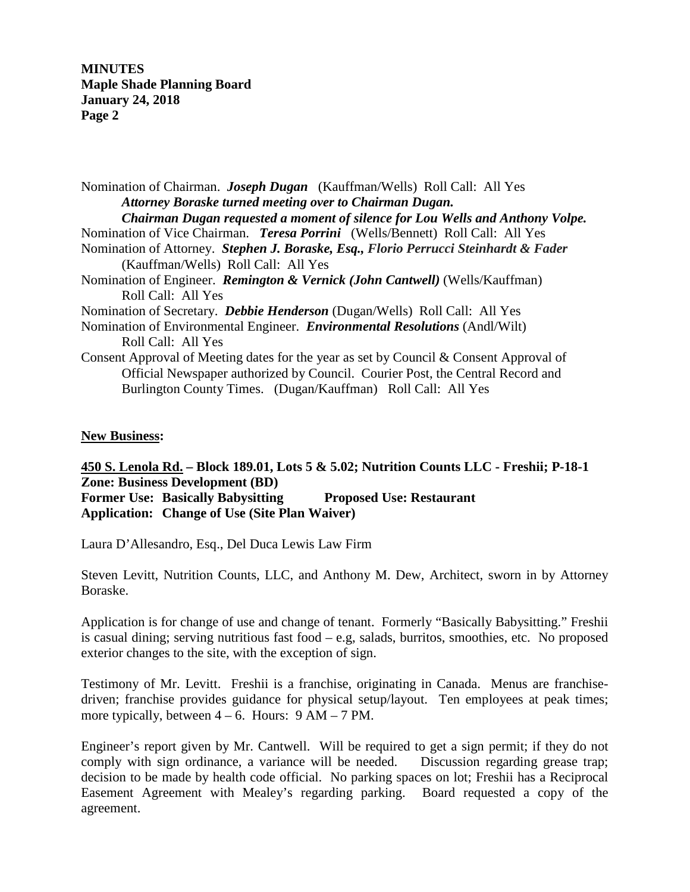**MINUTES Maple Shade Planning Board January 24, 2018 Page 2**

Nomination of Chairman. *Joseph Dugan* (Kauffman/Wells) Roll Call: All Yes *Attorney Boraske turned meeting over to Chairman Dugan. Chairman Dugan requested a moment of silence for Lou Wells and Anthony Volpe.* Nomination of Vice Chairman. *Teresa Porrini* (Wells/Bennett) Roll Call: All Yes Nomination of Attorney. *Stephen J. Boraske, Esq., Florio Perrucci Steinhardt & Fader* (Kauffman/Wells) Roll Call: All Yes Nomination of Engineer. *Remington & Vernick (John Cantwell)* (Wells/Kauffman) Roll Call: All Yes Nomination of Secretary. *Debbie Henderson* (Dugan/Wells) Roll Call: All Yes Nomination of Environmental Engineer. *Environmental Resolutions* (Andl/Wilt) Roll Call: All Yes Consent Approval of Meeting dates for the year as set by Council & Consent Approval of Official Newspaper authorized by Council. Courier Post, the Central Record and Burlington County Times. (Dugan/Kauffman) Roll Call: All Yes

## **New Business:**

# **450 S. Lenola Rd. – Block 189.01, Lots 5 & 5.02; Nutrition Counts LLC - Freshii; P-18-1 Zone: Business Development (BD) Former Use: Basically Babysitting Proposed Use: Restaurant**

**Application: Change of Use (Site Plan Waiver)**

Laura D'Allesandro, Esq., Del Duca Lewis Law Firm

Steven Levitt, Nutrition Counts, LLC, and Anthony M. Dew, Architect, sworn in by Attorney Boraske.

Application is for change of use and change of tenant. Formerly "Basically Babysitting." Freshii is casual dining; serving nutritious fast food  $-e.g.$  salads, burritos, smoothies, etc. No proposed exterior changes to the site, with the exception of sign.

Testimony of Mr. Levitt. Freshii is a franchise, originating in Canada. Menus are franchisedriven; franchise provides guidance for physical setup/layout. Ten employees at peak times; more typically, between  $4 - 6$ . Hours:  $9 AM - 7 PM$ .

Engineer's report given by Mr. Cantwell. Will be required to get a sign permit; if they do not comply with sign ordinance, a variance will be needed. Discussion regarding grease trap; decision to be made by health code official. No parking spaces on lot; Freshii has a Reciprocal Easement Agreement with Mealey's regarding parking. Board requested a copy of the agreement.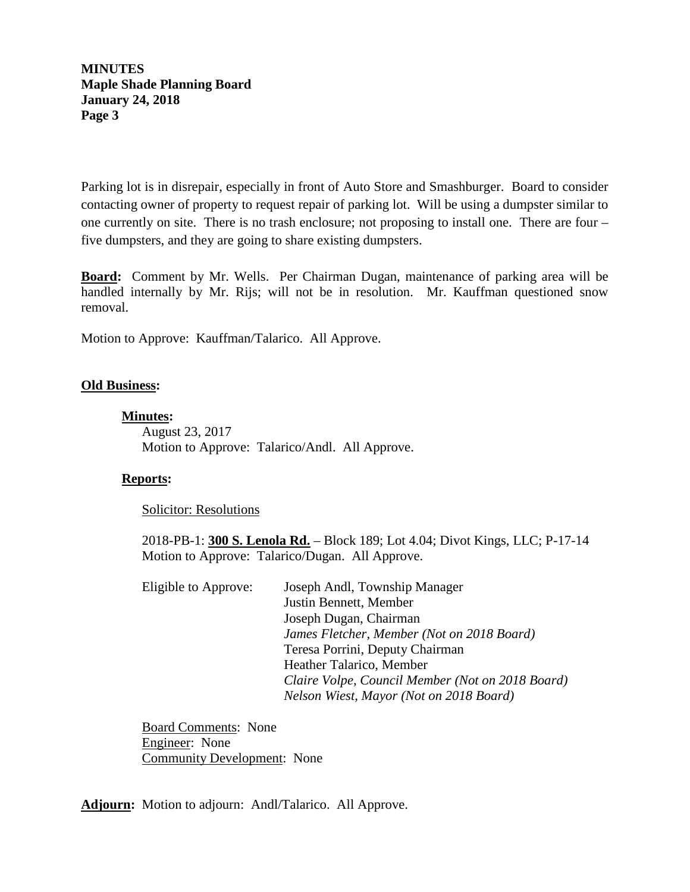**MINUTES Maple Shade Planning Board January 24, 2018 Page 3**

Parking lot is in disrepair, especially in front of Auto Store and Smashburger. Board to consider contacting owner of property to request repair of parking lot. Will be using a dumpster similar to one currently on site. There is no trash enclosure; not proposing to install one. There are four – five dumpsters, and they are going to share existing dumpsters.

**Board:** Comment by Mr. Wells. Per Chairman Dugan, maintenance of parking area will be handled internally by Mr. Rijs; will not be in resolution. Mr. Kauffman questioned snow removal.

Motion to Approve: Kauffman/Talarico. All Approve.

### **Old Business:**

### **Minutes :**

August 23, 2017 Motion to Approve: Talarico/Andl. All Approve.

### **Reports:**

Solicitor: Resolutions

2018-PB-1: **300 S. Lenola Rd.** – Block 189; Lot 4.04; Divot Kings, LLC; P-17-14 Motion to Approve: Talarico/Dugan. All Approve.

| Eligible to Approve: | Joseph Andl, Township Manager                    |
|----------------------|--------------------------------------------------|
|                      | Justin Bennett, Member                           |
|                      | Joseph Dugan, Chairman                           |
|                      | James Fletcher, Member (Not on 2018 Board)       |
|                      | Teresa Porrini, Deputy Chairman                  |
|                      | Heather Talarico, Member                         |
|                      | Claire Volpe, Council Member (Not on 2018 Board) |
|                      | Nelson Wiest, Mayor (Not on 2018 Board)          |

Board Comments: None Engineer: None Community Development: None

**Adjourn:** Motion to adjourn:Andl/Talarico. All Approve.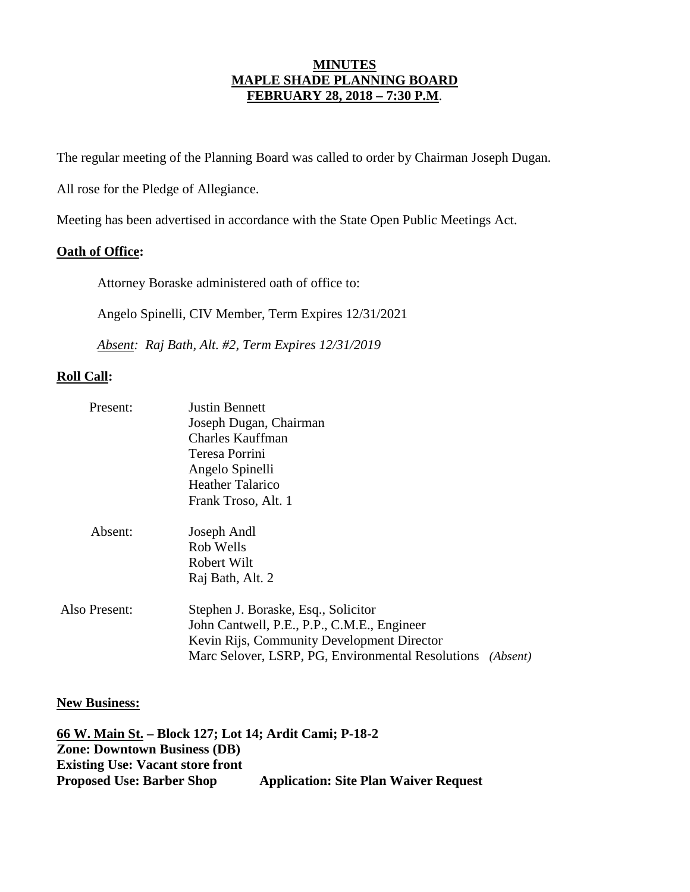## **MINUTES MAPLE SHADE PLANNING BOARD FEBRUARY 28, 2018 – 7:30 P.M**.

The regular meeting of the Planning Board was called to order by Chairman Joseph Dugan.

All rose for the Pledge of Allegiance.

Meeting has been advertised in accordance with the State Open Public Meetings Act.

### **Oath of Office:**

Attorney Boraske administered oath of office to:

Angelo Spinelli, CIV Member, Term Expires 12/31/2021

*Absent: Raj Bath, Alt. #2, Term Expires 12/31/2019*

### **Roll Call:**

| Present:      | <b>Justin Bennett</b>                             |          |  |
|---------------|---------------------------------------------------|----------|--|
|               | Joseph Dugan, Chairman                            |          |  |
|               | <b>Charles Kauffman</b>                           |          |  |
|               | Teresa Porrini                                    |          |  |
|               | Angelo Spinelli                                   |          |  |
|               | <b>Heather Talarico</b>                           |          |  |
|               | Frank Troso, Alt. 1                               |          |  |
| Absent:       | Joseph Andl                                       |          |  |
|               | Rob Wells                                         |          |  |
|               | Robert Wilt                                       |          |  |
|               | Raj Bath, Alt. 2                                  |          |  |
| Also Present: | Stephen J. Boraske, Esq., Solicitor               |          |  |
|               | John Cantwell, P.E., P.P., C.M.E., Engineer       |          |  |
|               | Kevin Rijs, Community Development Director        |          |  |
|               | Marc Selover, LSRP, PG, Environmental Resolutions | (Absent) |  |

### **New Business:**

**66 W. Main St. – Block 127; Lot 14; Ardit Cami; P-18-2 Zone: Downtown Business (DB) Existing Use: Vacant store front Proposed Use: Barber Shop Application: Site Plan Waiver Request**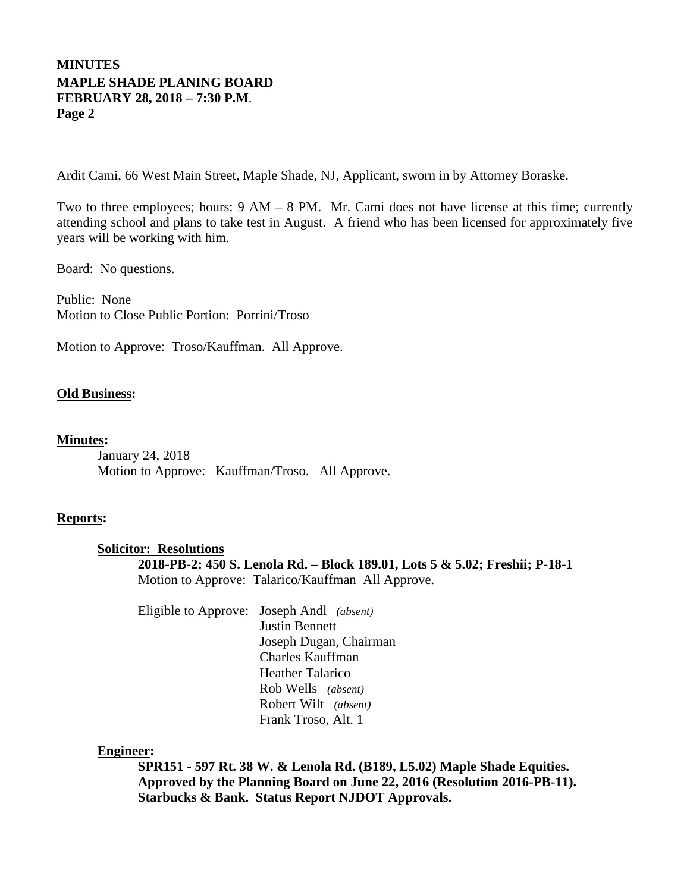# **MINUTES MAPLE SHADE PLANING BOARD FEBRUARY 28, 2018 – 7:30 P.M**. **Page 2**

Ardit Cami, 66 West Main Street, Maple Shade, NJ, Applicant, sworn in by Attorney Boraske.

Two to three employees; hours: 9 AM – 8 PM. Mr. Cami does not have license at this time; currently attending school and plans to take test in August. A friend who has been licensed for approximately five years will be working with him.

Board: No questions.

Public: None Motion to Close Public Portion: Porrini/Troso

Motion to Approve: Troso/Kauffman. All Approve.

## **Old Business:**

# **Minutes :**

January 24, 2018 Motion to Approve: Kauffman/Troso. All Approve.

## **Reports:**

## **Solicitor: Resolutions**

**2018-PB-2: 450 S. Lenola Rd. – Block 189.01, Lots 5 & 5.02; Freshii; P-18-1** Motion to Approve: Talarico/Kauffman All Approve.

Eligible to Approve: Joseph Andl *(absent)* Justin Bennett Joseph Dugan, Chairman Charles Kauffman Heather Talarico Rob Wells *(absent)* Robert Wilt *(absent)* Frank Troso, Alt. 1

## **Engineer :**

**SPR151 - 597 Rt. 38 W. & Lenola Rd. (B189, L5.02) Maple Shade Equities. Approved by the Planning Board on June 22, 2016 (Resolution 2016-PB-11). Starbucks & Bank. Status Report NJDOT Approvals.**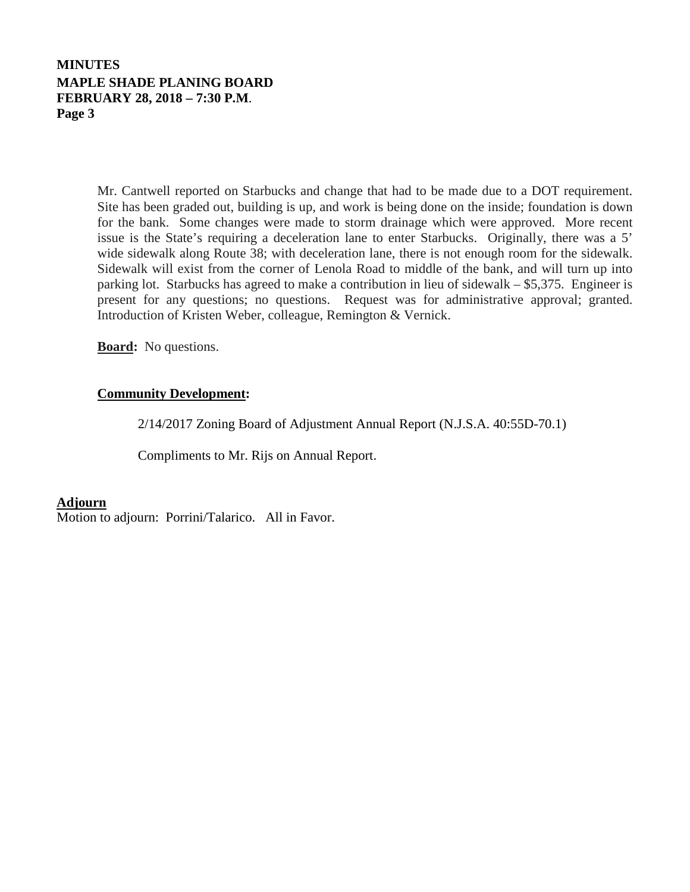# **MINUTES MAPLE SHADE PLANING BOARD FEBRUARY 28, 2018 – 7:30 P.M**. **Page 3**

Mr. Cantwell reported on Starbucks and change that had to be made due to a DOT requirement. Site has been graded out, building is up, and work is being done on the inside; foundation is down for the bank. Some changes were made to storm drainage which were approved. More recent issue is the State's requiring a deceleration lane to enter Starbucks. Originally, there was a 5' wide sidewalk along Route 38; with deceleration lane, there is not enough room for the sidewalk. Sidewalk will exist from the corner of Lenola Road to middle of the bank, and will turn up into parking lot. Starbucks has agreed to make a contribution in lieu of sidewalk – \$5,375. Engineer is present for any questions; no questions. Request was for administrative approval; granted. Introduction of Kristen Weber, colleague, Remington & Vernick.

**Board:** No questions.

## **Community Development:**

2/14/2017 Zoning Board of Adjustment Annual Report (N.J.S.A. 40:55D-70.1)

Compliments to Mr. Rijs on Annual Report.

### **Adjourn**

Motion to adjourn: Porrini/Talarico. All in Favor.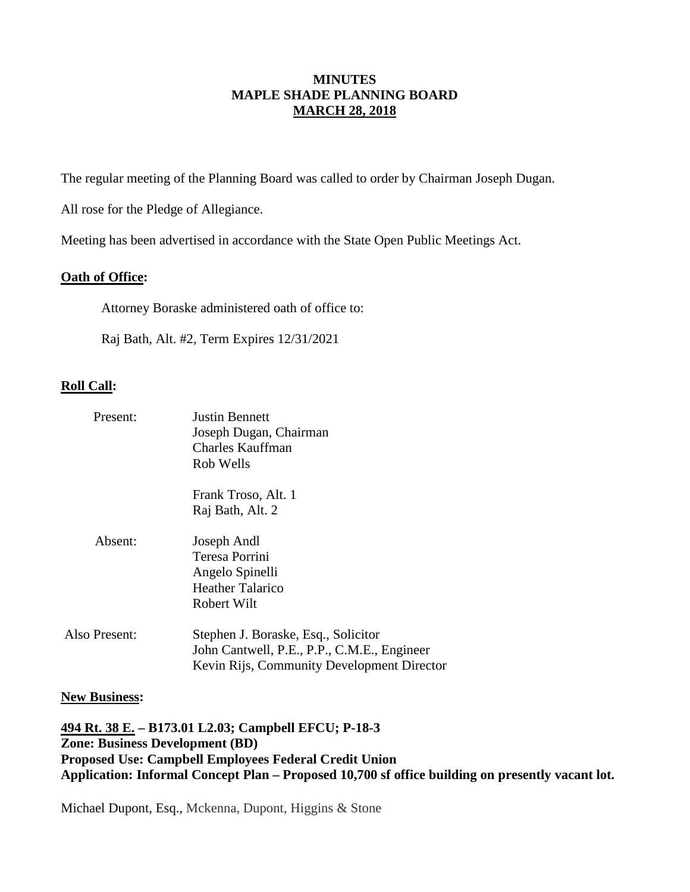## **MINUTES MAPLE SHADE PLANNING BOARD MARCH 28, 2018**

The regular meeting of the Planning Board was called to order by Chairman Joseph Dugan.

All rose for the Pledge of Allegiance.

Meeting has been advertised in accordance with the State Open Public Meetings Act.

## **Oath of Office:**

Attorney Boraske administered oath of office to:

Raj Bath, Alt. #2, Term Expires 12/31/2021

## **Roll Call:**

| Present:      | <b>Justin Bennett</b><br>Joseph Dugan, Chairman<br>Charles Kauffman<br>Rob Wells                                                 |
|---------------|----------------------------------------------------------------------------------------------------------------------------------|
|               | Frank Troso, Alt. 1<br>Raj Bath, Alt. 2                                                                                          |
| Absent:       | Joseph Andl<br>Teresa Porrini<br>Angelo Spinelli<br><b>Heather Talarico</b><br>Robert Wilt                                       |
| Also Present: | Stephen J. Boraske, Esq., Solicitor<br>John Cantwell, P.E., P.P., C.M.E., Engineer<br>Kevin Rijs, Community Development Director |

### **New Business:**

**494 Rt. 38 E. – B173.01 L2.03; Campbell EFCU; P-18-3 Zone: Business Development (BD) Proposed Use: Campbell Employees Federal Credit Union Application: Informal Concept Plan – Proposed 10,700 sf office building on presently vacant lot.**

Michael Dupont, Esq., Mckenna, Dupont, Higgins & Stone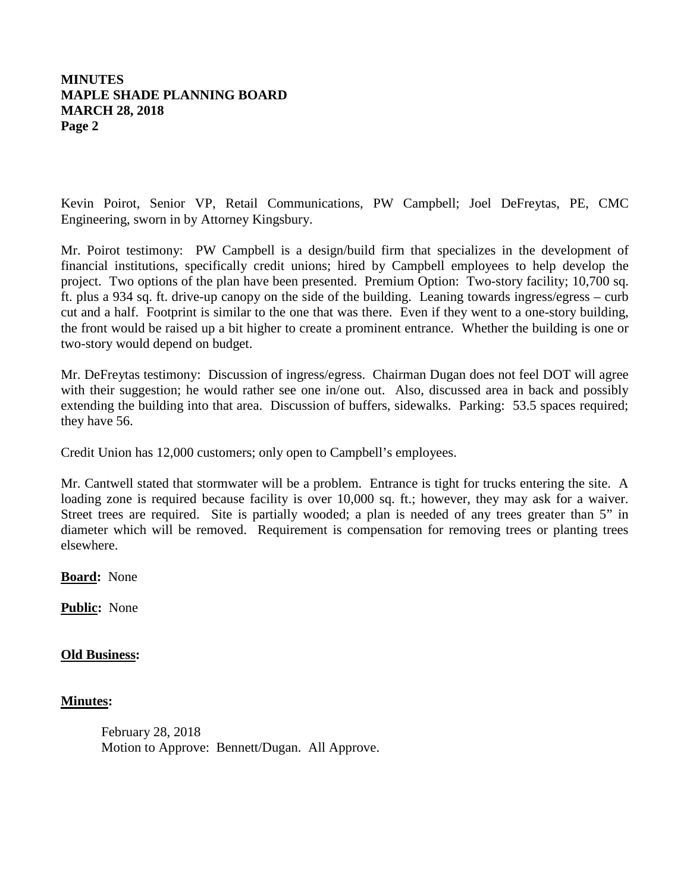# **MINUTES MAPLE SHADE PLANNING BOARD MARCH 28, 2018 Page 2**

Kevin Poirot, Senior VP, Retail Communications, PW Campbell; Joel DeFreytas, PE, CMC Engineering, sworn in by Attorney Kingsbury.

Mr. Poirot testimony: PW Campbell is a design/build firm that specializes in the development of financial institutions, specifically credit unions; hired by Campbell employees to help develop the project. Two options of the plan have been presented. Premium Option: Two-story facility; 10,700 sq. ft. plus a 934 sq. ft. drive-up canopy on the side of the building. Leaning towards ingress/egress – curb cut and a half. Footprint is similar to the one that was there. Even if they went to a one-story building, the front would be raised up a bit higher to create a prominent entrance. Whether the building is one or two-story would depend on budget.

Mr. DeFreytas testimony: Discussion of ingress/egress. Chairman Dugan does not feel DOT will agree with their suggestion; he would rather see one in/one out. Also, discussed area in back and possibly extending the building into that area. Discussion of buffers, sidewalks. Parking: 53.5 spaces required; they have 56.

Credit Union has 12,000 customers; only open to Campbell's employees.

Mr. Cantwell stated that stormwater will be a problem. Entrance is tight for trucks entering the site. A loading zone is required because facility is over 10,000 sq. ft.; however, they may ask for a waiver. Street trees are required. Site is partially wooded; a plan is needed of any trees greater than 5" in diameter which will be removed. Requirement is compensation for removing trees or planting trees elsewhere.

**Board:** None

**Public:** None

## **Old Business:**

### **Minutes:**

February 28, 2018 Motion to Approve: Bennett/Dugan. All Approve.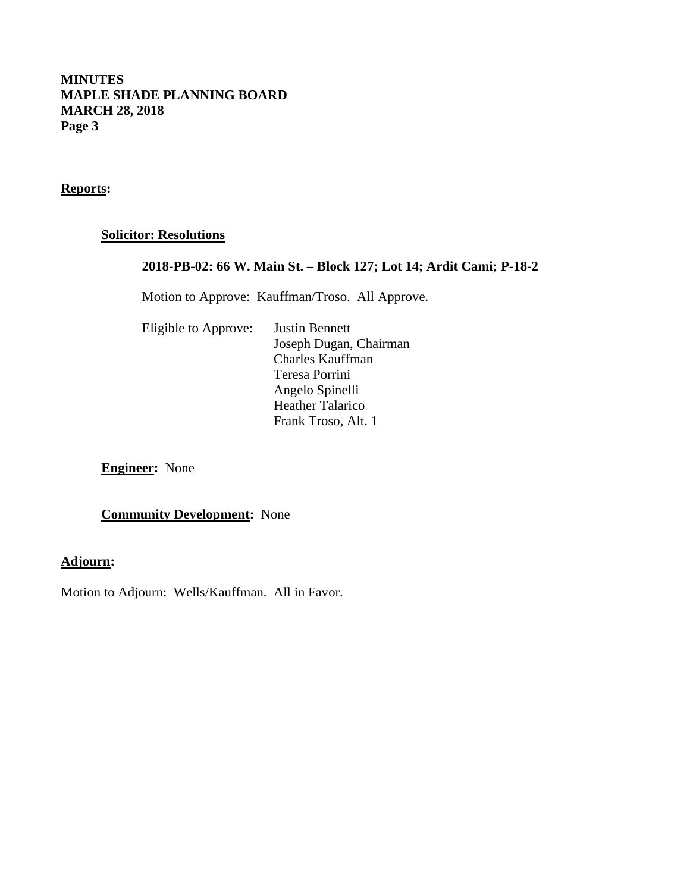# **MINUTES MAPLE SHADE PLANNING BOARD MARCH 28, 2018 Page 3**

**Reports:**

# **Solicitor: Resolutions**

# **2018-PB-02: 66 W. Main St. – Block 127; Lot 14; Ardit Cami; P-18-2**

Motion to Approve: Kauffman/Troso. All Approve.

| Eligible to Approve: | <b>Justin Bennett</b>   |
|----------------------|-------------------------|
|                      | Joseph Dugan, Chairman  |
|                      | <b>Charles Kauffman</b> |
|                      | Teresa Porrini          |
|                      | Angelo Spinelli         |
|                      | <b>Heather Talarico</b> |
|                      | Frank Troso, Alt. 1     |

**Engineer:** None

**Community Development:** None

# **Adjourn:**

Motion to Adjourn: Wells/Kauffman. All in Favor.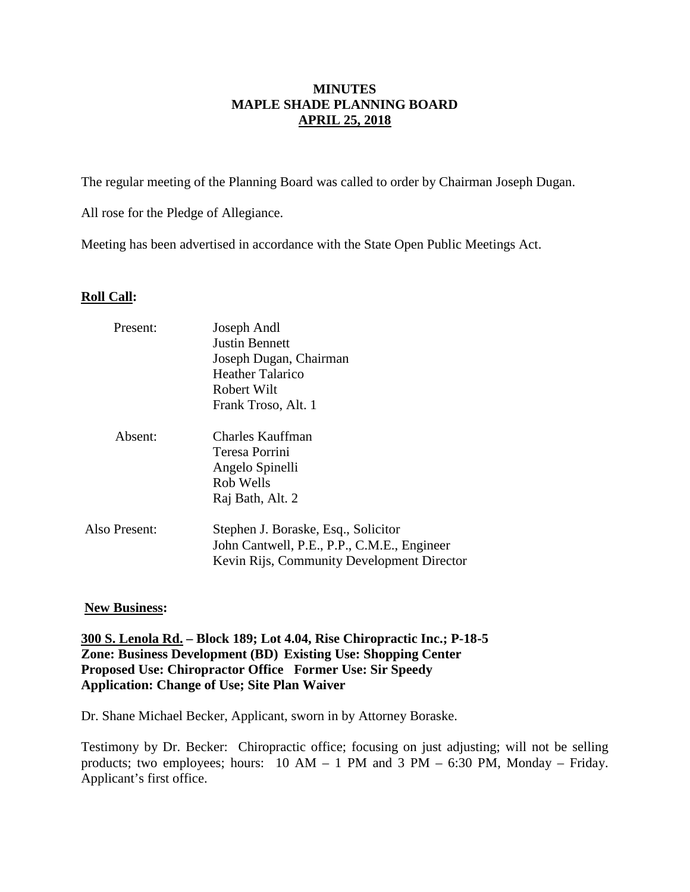# **MINUTES MAPLE SHADE PLANNING BOARD APRIL 25, 2018**

The regular meeting of the Planning Board was called to order by Chairman Joseph Dugan.

All rose for the Pledge of Allegiance.

Meeting has been advertised in accordance with the State Open Public Meetings Act.

# **Roll Call:**

| Present:      | Joseph Andl                                 |  |  |
|---------------|---------------------------------------------|--|--|
|               | <b>Justin Bennett</b>                       |  |  |
|               | Joseph Dugan, Chairman                      |  |  |
|               | <b>Heather Talarico</b>                     |  |  |
|               | Robert Wilt                                 |  |  |
|               | Frank Troso, Alt. 1                         |  |  |
| Absent:       | <b>Charles Kauffman</b>                     |  |  |
|               | Teresa Porrini                              |  |  |
|               | Angelo Spinelli                             |  |  |
|               | Rob Wells                                   |  |  |
|               | Raj Bath, Alt. 2                            |  |  |
| Also Present: | Stephen J. Boraske, Esq., Solicitor         |  |  |
|               | John Cantwell, P.E., P.P., C.M.E., Engineer |  |  |
|               | Kevin Rijs, Community Development Director  |  |  |

## **New Business:**

**300 S. Lenola Rd. – Block 189; Lot 4.04, Rise Chiropractic Inc.; P-18-5 Zone: Business Development (BD) Existing Use: Shopping Center Proposed Use: Chiropractor Office Former Use: Sir Speedy Application: Change of Use; Site Plan Waiver**

Dr. Shane Michael Becker, Applicant, sworn in by Attorney Boraske.

Testimony by Dr. Becker: Chiropractic office; focusing on just adjusting; will not be selling products; two employees; hours:  $10 AM - 1 PM$  and  $3 PM - 6:30 PM$ , Monday – Friday. Applicant's first office.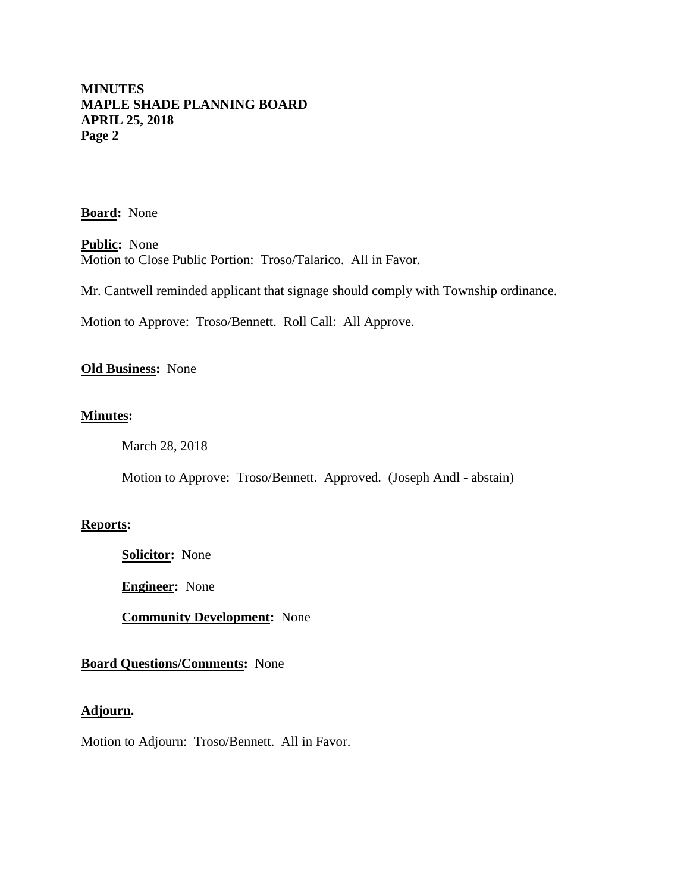**Board:** None

**Public :** None Motion to Close Public Portion: Troso/Talarico. All in Favor.

Mr. Cantwell reminded applicant that signage should comply with Township ordinance.

Motion to Approve: Troso/Bennett. Roll Call: All Approve.

## **Old Business:** None

## **Minutes:**

March 28, 2018

Motion to Approve: Troso/Bennett. Approved. (Joseph Andl - abstain)

### **Reports:**

**Solicitor:** None

**Engineer:** None

**Community Development:** None

### **Board Questions/Comments:** None

#### **Adjourn.**

Motion to Adjourn: Troso/Bennett. All in Favor.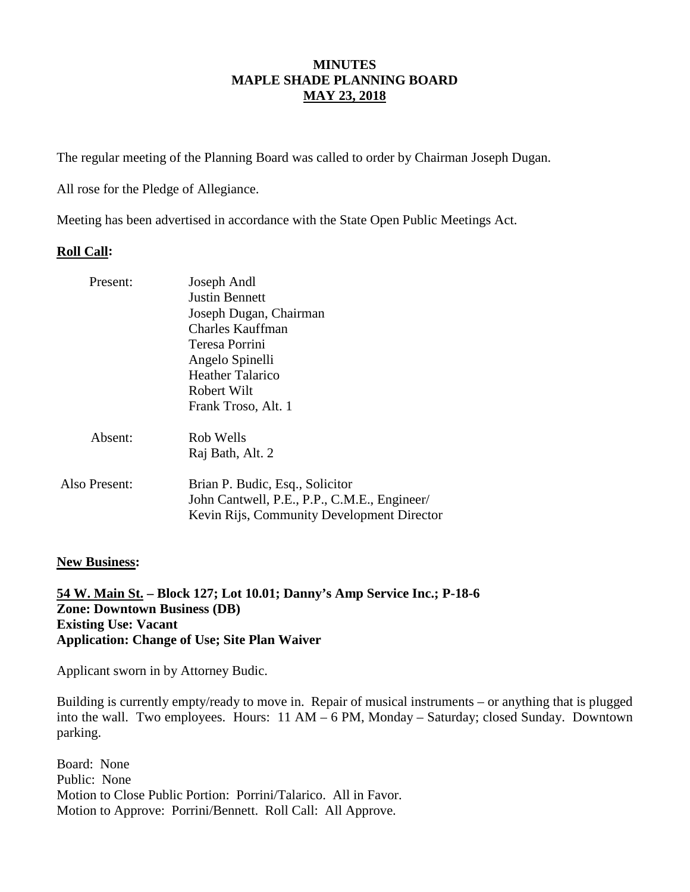# **MINUTES MAPLE SHADE PLANNING BOARD MAY 23, 2018**

The regular meeting of the Planning Board was called to order by Chairman Joseph Dugan.

All rose for the Pledge of Allegiance.

Meeting has been advertised in accordance with the State Open Public Meetings Act.

# **Roll Call:**

| Present:      | Joseph Andl                                                                                                                   |
|---------------|-------------------------------------------------------------------------------------------------------------------------------|
|               | <b>Justin Bennett</b>                                                                                                         |
|               | Joseph Dugan, Chairman                                                                                                        |
|               | Charles Kauffman                                                                                                              |
|               | Teresa Porrini                                                                                                                |
|               | Angelo Spinelli                                                                                                               |
|               | Heather Talarico                                                                                                              |
|               | Robert Wilt                                                                                                                   |
|               | Frank Troso, Alt. 1                                                                                                           |
| Absent:       | Rob Wells                                                                                                                     |
|               | Raj Bath, Alt. 2                                                                                                              |
| Also Present: | Brian P. Budic, Esq., Solicitor<br>John Cantwell, P.E., P.P., C.M.E., Engineer/<br>Kevin Rijs, Community Development Director |
|               |                                                                                                                               |

## **New Business:**

**54 W. Main St. – Block 127; Lot 10.01; Danny's Amp Service Inc.; P-18-6 Zone: Downtown Business (DB) Existing Use: Vacant Application: Change of Use; Site Plan Waiver** 

Applicant sworn in by Attorney Budic.

Building is currently empty/ready to move in. Repair of musical instruments – or anything that is plugged into the wall. Two employees. Hours: 11 AM – 6 PM, Monday – Saturday; closed Sunday. Downtown parking.

Board: None Public: None Motion to Close Public Portion: Porrini/Talarico. All in Favor. Motion to Approve: Porrini/Bennett. Roll Call: All Approve.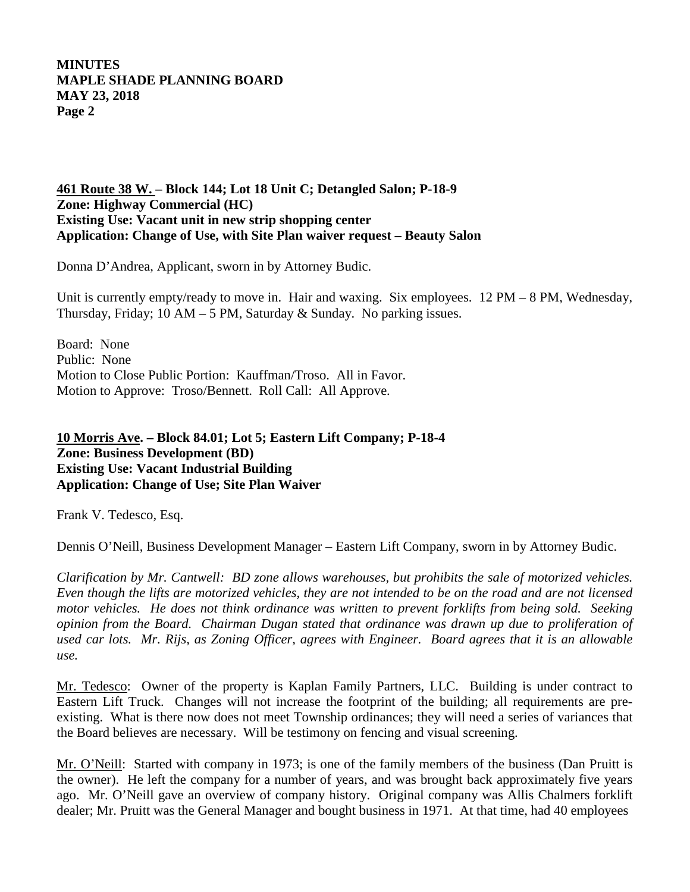# **461 Route 38 W. – Block 144; Lot 18 Unit C; Detangled Salon; P-18-9 Zone: Highway Commercial (HC) Existing Use: Vacant unit in new strip shopping center Application: Change of Use, with Site Plan waiver request – Beauty Salon**

Donna D'Andrea, Applicant, sworn in by Attorney Budic.

Unit is currently empty/ready to move in. Hair and waxing. Six employees.  $12 \text{ PM} - 8 \text{ PM}$ , Wednesday, Thursday, Friday; 10 AM – 5 PM, Saturday & Sunday. No parking issues.

Board: None Public: None Motion to Close Public Portion: Kauffman/Troso. All in Favor. Motion to Approve: Troso/Bennett. Roll Call: All Approve.

# **10 Morris Ave . – Block 84.01; Lot 5; Eastern Lift Company; P-18-4 Zone: Business Development (BD) Existing Use: Vacant Industrial Building Application: Change of Use; Site Plan Waiver**

Frank V. Tedesco, Esq.

Dennis O'Neill, Business Development Manager – Eastern Lift Company, sworn in by Attorney Budic.

*Clarification by Mr. Cantwell: BD zone allows warehouses, but prohibits the sale of motorized vehicles. Even though the lifts are motorized vehicles, they are not intended to be on the road and are not licensed motor vehicles. He does not think ordinance was written to prevent forklifts from being sold. Seeking opinion from the Board. Chairman Dugan stated that ordinance was drawn up due to proliferation of used car lots. Mr. Rijs, as Zoning Officer, agrees with Engineer. Board agrees that it is an allowable use.* 

Mr. Tedesco: Owner of the property is Kaplan Family Partners, LLC. Building is under contract to Eastern Lift Truck. Changes will not increase the footprint of the building; all requirements are preexisting. What is there now does not meet Township ordinances; they will need a series of variances that the Board believes are necessary. Will be testimony on fencing and visual screening.

Mr. O'Neill: Started with company in 1973; is one of the family members of the business (Dan Pruitt is the owner). He left the company for a number of years, and was brought back approximately five years ago. Mr. O'Neill gave an overview of company history. Original company was Allis Chalmers forklift dealer; Mr. Pruitt was the General Manager and bought business in 1971. At that time, had 40 employees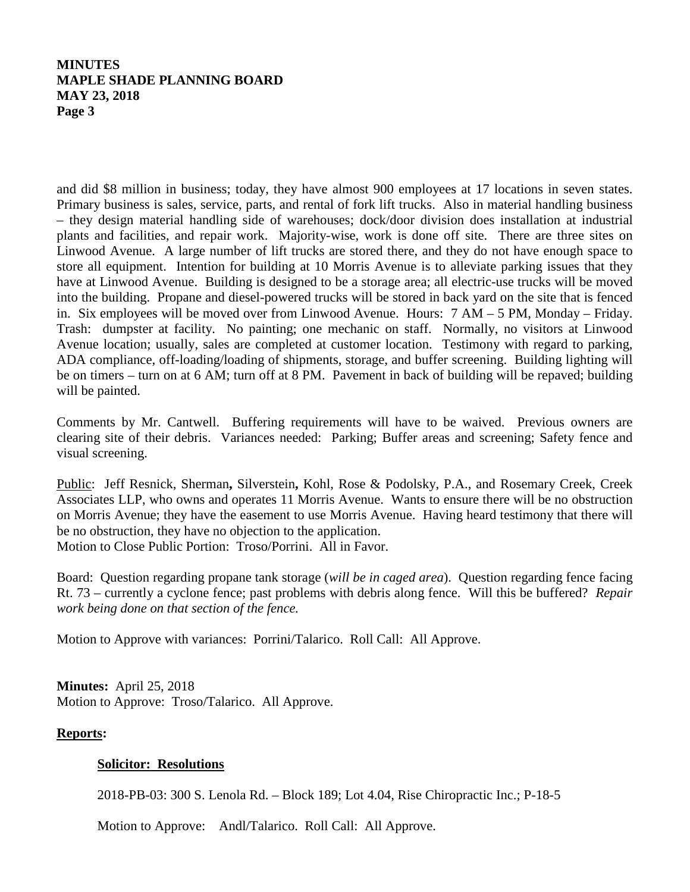and did \$8 million in business; today, they have almost 900 employees at 17 locations in seven states. Primary business is sales, service, parts, and rental of fork lift trucks. Also in material handling business – they design material handling side of warehouses; dock/door division does installation at industrial plants and facilities, and repair work. Majority-wise, work is done off site. There are three sites on Linwood Avenue. A large number of lift trucks are stored there, and they do not have enough space to store all equipment. Intention for building at 10 Morris Avenue is to alleviate parking issues that they have at Linwood Avenue. Building is designed to be a storage area; all electric-use trucks will be moved into the building. Propane and diesel-powered trucks will be stored in back yard on the site that is fenced in. Six employees will be moved over from Linwood Avenue. Hours: 7 AM – 5 PM, Monday – Friday. Trash: dumpster at facility. No painting; one mechanic on staff. Normally, no visitors at Linwood Avenue location; usually, sales are completed at customer location. Testimony with regard to parking, ADA compliance, off-loading/loading of shipments, storage, and buffer screening. Building lighting will be on timers – turn on at 6 AM; turn off at 8 PM. Pavement in back of building will be repaved; building will be painted.

Comments by Mr. Cantwell. Buffering requirements will have to be waived. Previous owners are clearing site of their debris. Variances needed: Parking; Buffer areas and screening; Safety fence and visual screening.

Public: Jeff Resnick, Sherman**,** Silverstein **,** Kohl, Rose & Podolsky, P.A., and Rosemary Creek, Creek Motion to Close Public Portion: Troso/Porrini. All in Favor. Associates LLP, who owns and operates 11 Morris Avenue. Wants to ensure there will be no obstruction on Morris Avenue; they have the easement to use Morris Avenue. Having heard testimony that there will be no obstruction, they have no objection to the application.

Board: Question regarding propane tank storage (*will be in caged area*). Question regarding fence facing Rt. 73 – currently a cyclone fence; past problems with debris along fence. Will this be buffered? *Repair work being done on that section of the fence.* 

Motion to Approve with variances: Porrini/Talarico. Roll Call: All Approve.

**Minutes:** April 25, 2018 Motion to Approve: Troso/Talarico. All Approve.

## **Reports:**

## **Solicitor: Resolutions**

2018-PB-03: 300 S. Lenola Rd. – Block 189; Lot 4.04, Rise Chiropractic Inc.; P-18-5

Motion to Approve: Andl/Talarico. Roll Call: All Approve.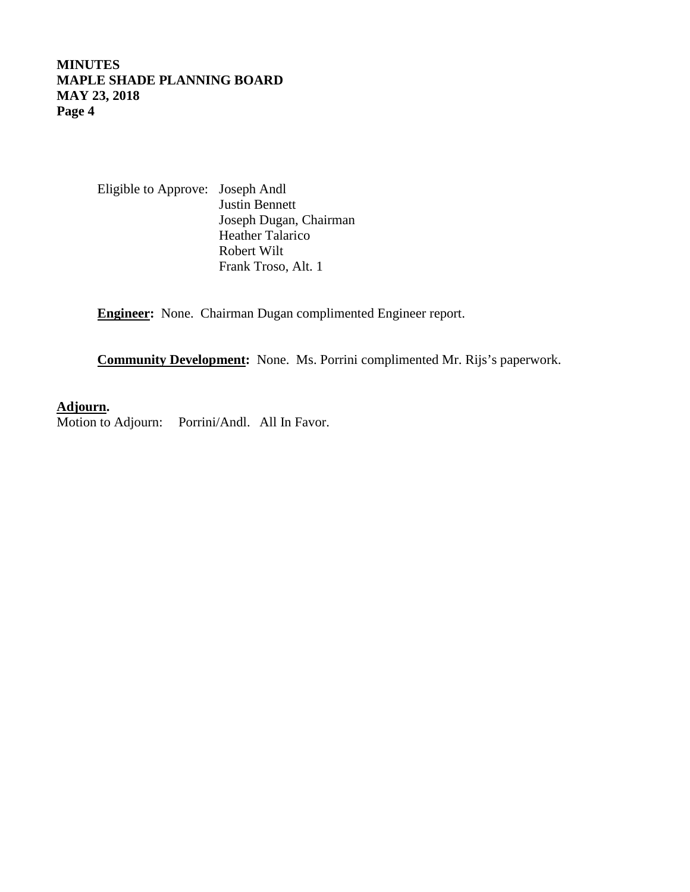> Eligible to Approve: Joseph Andl Justin Bennett Joseph Dugan, Chairman Heather Talarico Robert Wilt Frank Troso, Alt. 1

**Engineer:** None. Chairman Dugan complimented Engineer report.

**Community Development:** None. Ms. Porrini complimented Mr. Rijs's paperwork.

# **Adjourn .**

Motion to Adjourn: Porrini/Andl. All In Favor.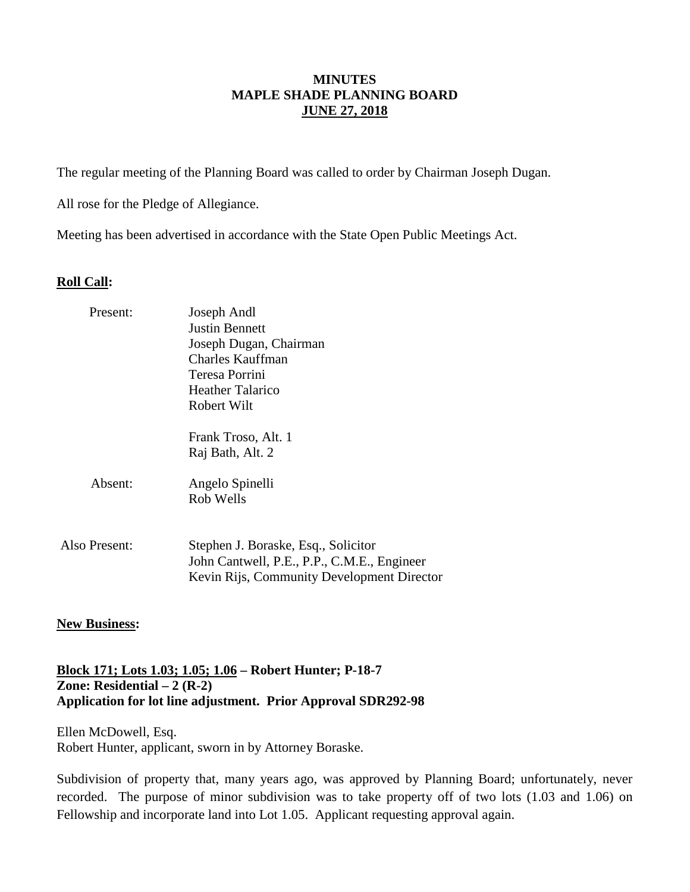## **MINUTES MAPLE SHADE PLANNING BOARD JUNE 27, 2018**

The regular meeting of the Planning Board was called to order by Chairman Joseph Dugan.

All rose for the Pledge of Allegiance.

Meeting has been advertised in accordance with the State Open Public Meetings Act.

### **Roll Call:**

| Present:      | Joseph Andl<br>Justin Bennett<br>Joseph Dugan, Chairman<br>Charles Kauffman<br>Teresa Porrini                                    |
|---------------|----------------------------------------------------------------------------------------------------------------------------------|
|               | Heather Talarico<br>Robert Wilt                                                                                                  |
|               | Frank Troso, Alt. 1<br>Raj Bath, Alt. 2                                                                                          |
| Absent:       | Angelo Spinelli<br>Rob Wells                                                                                                     |
| Also Present: | Stephen J. Boraske, Esq., Solicitor<br>John Cantwell, P.E., P.P., C.M.E., Engineer<br>Kevin Rijs, Community Development Director |

## **New Business:**

# **Block 171; Lots 1.03; 1.05; 1.06 – Robert Hunter; P-18-7 Zone: Residential – 2 (R-2) Application for lot line adjustment. Prior Approval SDR292-98**

Ellen McDowell, Esq. Robert Hunter, applicant, sworn in by Attorney Boraske.

Subdivision of property that, many years ago, was approved by Planning Board; unfortunately, never recorded. The purpose of minor subdivision was to take property off of two lots (1.03 and 1.06) on Fellowship and incorporate land into Lot 1.05. Applicant requesting approval again.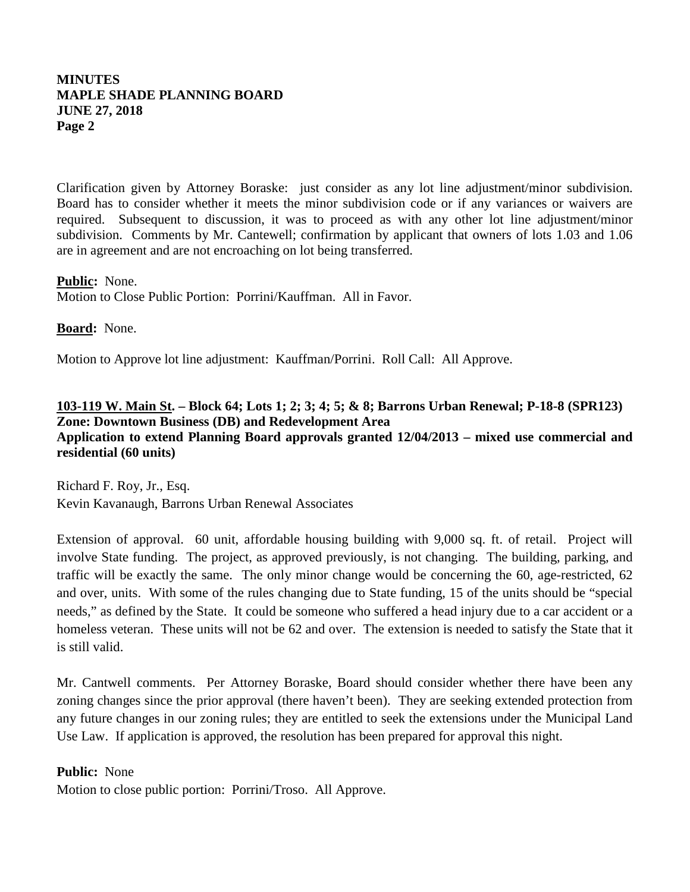Clarification given by Attorney Boraske: just consider as any lot line adjustment/minor subdivision. Board has to consider whether it meets the minor subdivision code or if any variances or waivers are required. Subsequent to discussion, it was to proceed as with any other lot line adjustment/minor subdivision. Comments by Mr. Cantewell; confirmation by applicant that owners of lots 1.03 and 1.06 are in agreement and are not encroaching on lot being transferred.

# **Public :** None.

Motion to Close Public Portion: Porrini/Kauffman. All in Favor.

# **Board:** None.

Motion to Approve lot line adjustment: Kauffman/Porrini. Roll Call: All Approve.

# **103-119 W. Main St . – Block 64; Lots 1; 2; 3; 4; 5; & 8; Barrons Urban Renewal; P-18-8 (SPR123) Zone: Downtown Business (DB) and Redevelopment Area Application to extend Planning Board approvals granted 12/04/2013 – mixed use commercial and residential (60 units)**

Richard F. Roy, Jr., Esq. Kevin Kavanaugh, Barrons Urban Renewal Associates

Extension of approval. 60 unit, affordable housing building with 9,000 sq. ft. of retail. Project will involve State funding. The project, as approved previously, is not changing. The building, parking, and traffic will be exactly the same. The only minor change would be concerning the 60, age-restricted, 62 and over, units. With some of the rules changing due to State funding, 15 of the units should be "special needs," as defined by the State. It could be someone who suffered a head injury due to a car accident or a homeless veteran. These units will not be 62 and over. The extension is needed to satisfy the State that it is still valid.

Mr. Cantwell comments. Per Attorney Boraske, Board should consider whether there have been any zoning changes since the prior approval (there haven't been). They are seeking extended protection from any future changes in our zoning rules; they are entitled to seek the extensions under the Municipal Land Use Law. If application is approved, the resolution has been prepared for approval this night.

# **Public:** None

Motion to close public portion: Porrini/Troso. All Approve.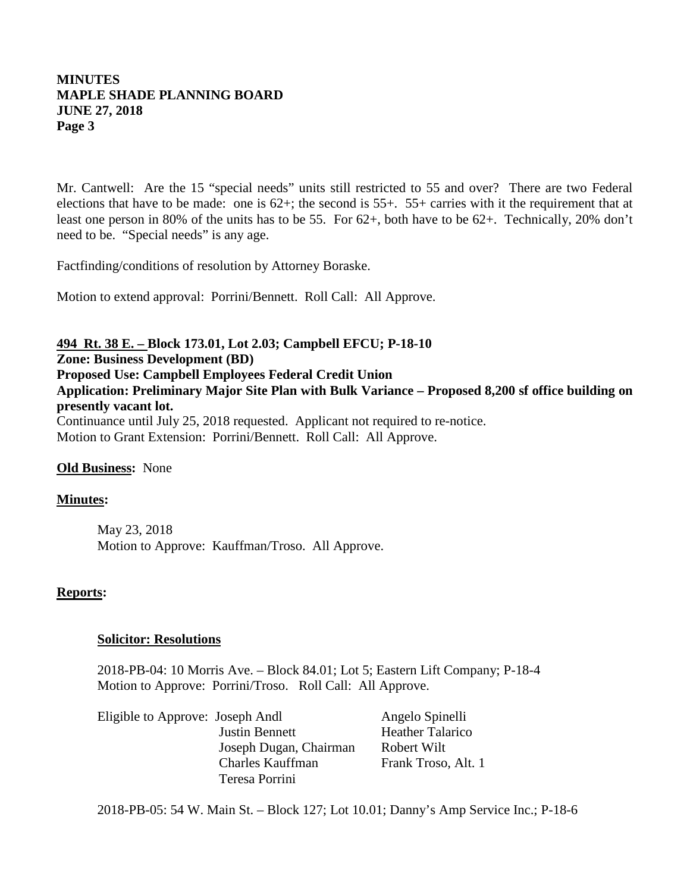Mr. Cantwell: Are the 15 "special needs" units still restricted to 55 and over? There are two Federal elections that have to be made: one is 62+; the second is 55+. 55+ carries with it the requirement that at least one person in 80% of the units has to be 55. For 62+, both have to be 62+. Technically, 20% don't need to be. "Special needs" is any age.

Factfinding/conditions of resolution by Attorney Boraske.

Motion to extend approval: Porrini/Bennett. Roll Call: All Approve.

# **494 Rt. 38 E. – Block 173.01, Lot 2.03; Campbell EFCU; P-18-10**

**Zone: Business Development (BD)**

**Proposed Use: Campbell Employees Federal Credit Union** 

**Application: Preliminary Major Site Plan with Bulk Variance – Proposed 8,200 sf office building on presently vacant lot.**

Continuance until July 25, 2018 requested. Applicant not required to re-notice. Motion to Grant Extension: Porrini/Bennett. Roll Call: All Approve.

## **Old Business:** None

## **Minutes:**

May 23, 2018 Motion to Approve: Kauffman/Troso. All Approve.

## **Reports:**

### **Solicitor: Resolutions**

2018-PB-04: 10 Morris Ave. – Block 84.01; Lot 5; Eastern Lift Company; P-18-4 Motion to Approve: Porrini/Troso. Roll Call: All Approve.

|                         | Angelo Spinelli                  |
|-------------------------|----------------------------------|
| <b>Justin Bennett</b>   | <b>Heather Talarico</b>          |
| Joseph Dugan, Chairman  | Robert Wilt                      |
| <b>Charles Kauffman</b> | Frank Troso, Alt. 1              |
| Teresa Porrini          |                                  |
|                         | Eligible to Approve: Joseph Andl |

2018-PB-05: 54 W. Main St. – Block 127; Lot 10.01; Danny's Amp Service Inc.; P-18-6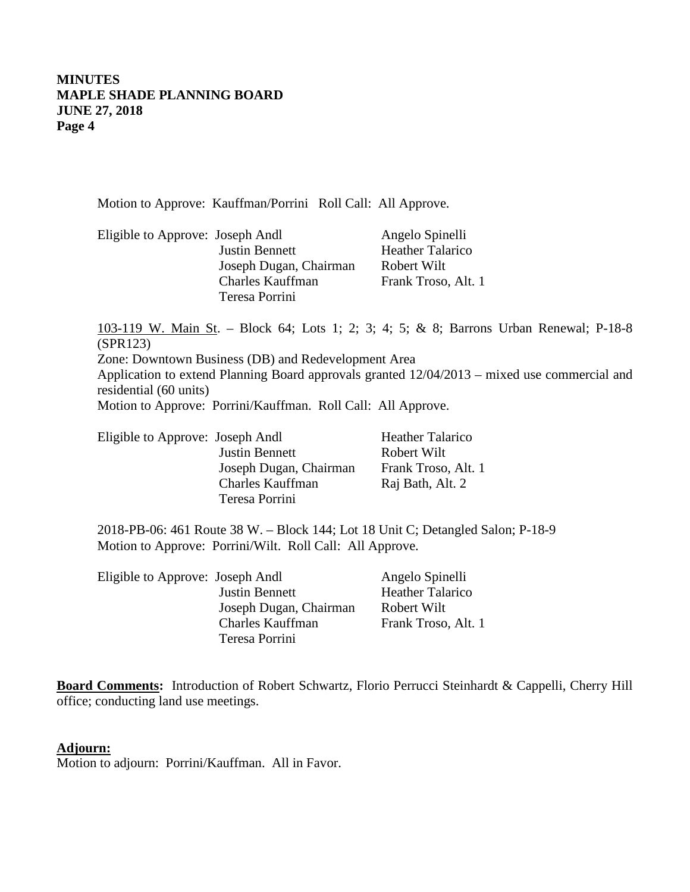Motion to Approve: Kauffman/Porrini Roll Call: All Approve.

| Eligible to Approve: Joseph Andl |                        | Angelo Spinelli         |
|----------------------------------|------------------------|-------------------------|
|                                  | <b>Justin Bennett</b>  | <b>Heather Talarico</b> |
|                                  | Joseph Dugan, Chairman | Robert Wilt             |
|                                  | Charles Kauffman       | Frank Troso, Alt. 1     |
|                                  | Teresa Porrini         |                         |

103-119 W. Main St . – Block 64; Lots 1; 2; 3; 4; 5; & 8; Barrons Urban Renewal; P-18-8 Zone: Downtown Business (DB) and Redevelopment Area (SPR123)

Application to extend Planning Board approvals granted 12/04/2013 – mixed use commercial and residential (60 units)

Motion to Approve: Porrini/Kauffman. Roll Call: All Approve.

| Eligible to Approve: Joseph Andl |                        | <b>Heather Talarico</b> |
|----------------------------------|------------------------|-------------------------|
|                                  | <b>Justin Bennett</b>  | Robert Wilt             |
|                                  | Joseph Dugan, Chairman | Frank Troso, Alt. 1     |
|                                  | Charles Kauffman       | Raj Bath, Alt. 2        |
|                                  | Teresa Porrini         |                         |

2018-PB-06: 461 Route 38 W. – Block 144; Lot 18 Unit C; Detangled Salon; P-18-9 Motion to Approve: Porrini/Wilt. Roll Call: All Approve.

| Eligible to Approve: Joseph Andl |                        | Angelo Spinelli         |
|----------------------------------|------------------------|-------------------------|
|                                  | <b>Justin Bennett</b>  | <b>Heather Talarico</b> |
|                                  | Joseph Dugan, Chairman | Robert Wilt             |
|                                  | Charles Kauffman       | Frank Troso, Alt. 1     |
|                                  | Teresa Porrini         |                         |
|                                  |                        |                         |

**Board Comments:** Introduction of Robert Schwartz, Florio Perrucci Steinhardt & Cappelli, Cherry Hill office; conducting land use meetings.

### **Adjourn:**

Motion to adjourn: Porrini/Kauffman. All in Favor.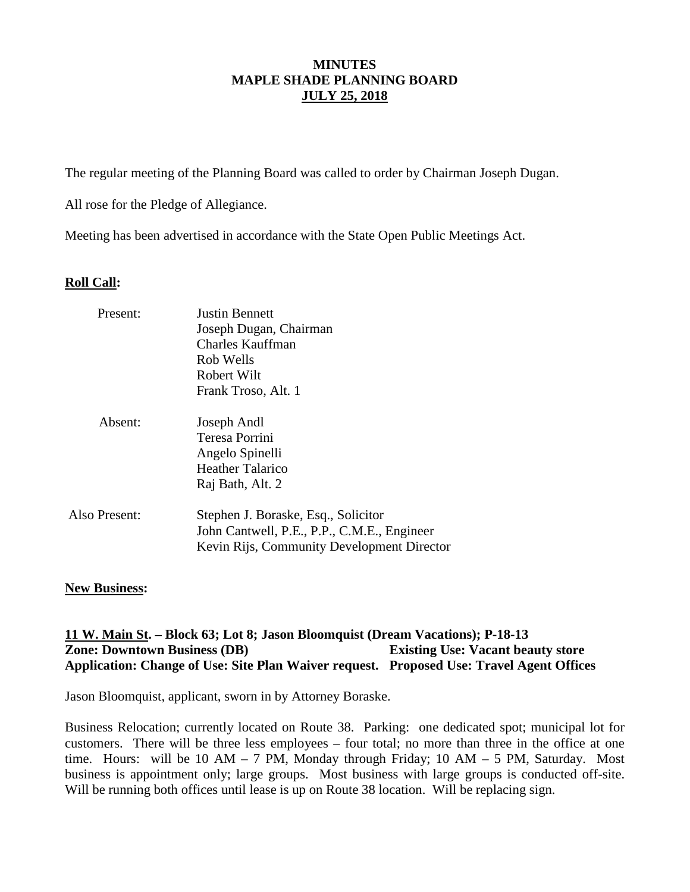The regular meeting of the Planning Board was called to order by Chairman Joseph Dugan.

All rose for the Pledge of Allegiance.

Meeting has been advertised in accordance with the State Open Public Meetings Act.

# **Roll Call:**

| Present:      | <b>Justin Bennett</b><br>Joseph Dugan, Chairman<br>Charles Kauffman<br>Rob Wells<br>Robert Wilt<br>Frank Troso, Alt. 1           |
|---------------|----------------------------------------------------------------------------------------------------------------------------------|
| Absent:       | Joseph Andl<br>Teresa Porrini<br>Angelo Spinelli<br><b>Heather Talarico</b><br>Raj Bath, Alt. 2                                  |
| Also Present: | Stephen J. Boraske, Esq., Solicitor<br>John Cantwell, P.E., P.P., C.M.E., Engineer<br>Kevin Rijs, Community Development Director |

## **New Business:**

# **11 W. Main St . – Block 63; Lot 8; Jason Bloomquist (Dream Vacations); P-18-13 Zone: Downtown Business (DB) Existing Use: Vacant beauty store Application: Change of Use: Site Plan Waiver request. Proposed Use: Travel Agent Offices**

Jason Bloomquist, applicant, sworn in by Attorney Boraske.

Business Relocation; currently located on Route 38. Parking: one dedicated spot; municipal lot for customers. There will be three less employees – four total; no more than three in the office at one time. Hours: will be 10 AM – 7 PM, Monday through Friday; 10 AM – 5 PM, Saturday. Most business is appointment only; large groups. Most business with large groups is conducted off-site. Will be running both offices until lease is up on Route 38 location. Will be replacing sign.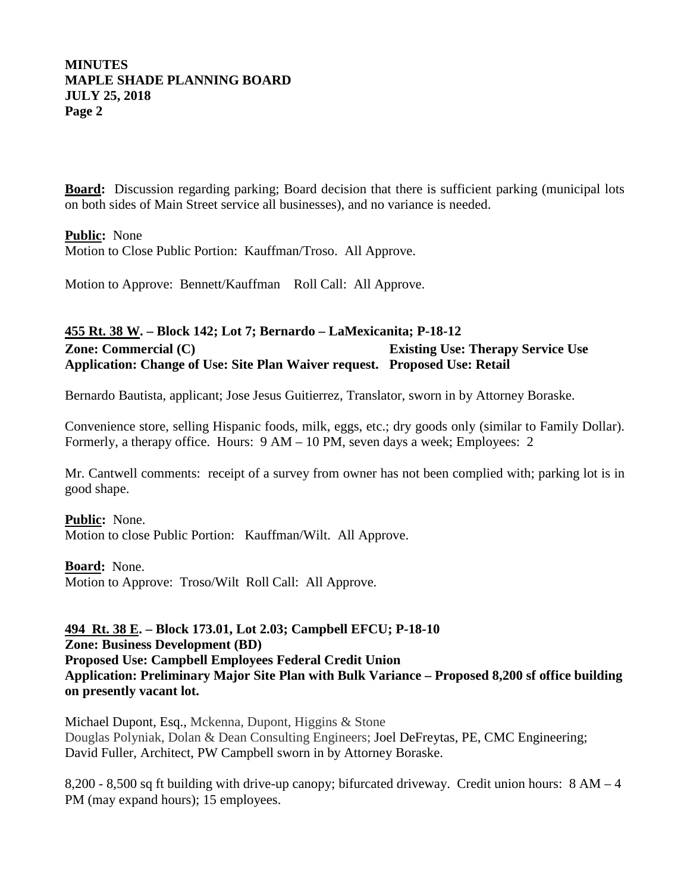**Board:** Discussion regarding parking; Board decision that there is sufficient parking (municipal lots on both sides of Main Street service all businesses), and no variance is needed.

**Public :** None Motion to Close Public Portion: Kauffman/Troso. All Approve.

Motion to Approve: Bennett/Kauffman Roll Call: All Approve.

# **455 Rt. 38 W . – Block 142; Lot 7; Bernardo – LaMexicanita; P-18-12 Zone: Commercial (C) Existing Use: Therapy Service Use Application: Change of Use: Site Plan Waiver request. Proposed Use: Retail**

Bernardo Bautista, applicant; Jose Jesus Guitierrez, Translator, sworn in by Attorney Boraske.

Convenience store, selling Hispanic foods, milk, eggs, etc.; dry goods only (similar to Family Dollar). Formerly, a therapy office. Hours: 9 AM – 10 PM, seven days a week; Employees: 2

Mr. Cantwell comments: receipt of a survey from owner has not been complied with; parking lot is in good shape.

**Public :** None. Motion to close Public Portion: Kauffman/Wilt. All Approve.

**Board :** None. Motion to Approve: Troso/Wilt Roll Call: All Approve.

# **494 Rt. 38 E . – Block 173.01, Lot 2.03; Campbell EFCU; P-18-10 Zone: Business Development (BD) Proposed Use: Campbell Employees Federal Credit Union Application: Preliminary Major Site Plan with Bulk Variance – Proposed 8,200 sf office building on presently vacant lot.**

Michael Dupont, Esq., Mckenna, Dupont, Higgins & Stone Douglas Polyniak, Dolan & Dean Consulting Engineers; Joel DeFreytas, PE, CMC Engineering; David Fuller, Architect, PW Campbell sworn in by Attorney Boraske.

8,200 - 8,500 sq ft building with drive-up canopy; bifurcated driveway. Credit union hours: 8 AM – 4 PM (may expand hours); 15 employees.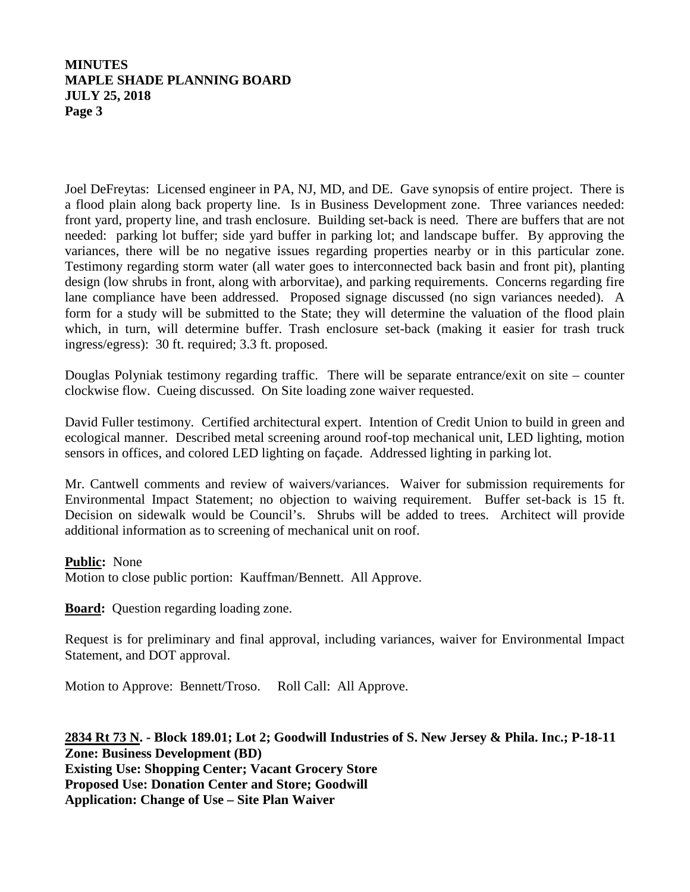Joel DeFreytas: Licensed engineer in PA, NJ, MD, and DE. Gave synopsis of entire project. There is a flood plain along back property line. Is in Business Development zone. Three variances needed: front yard, property line, and trash enclosure. Building set-back is need. There are buffers that are not needed: parking lot buffer; side yard buffer in parking lot; and landscape buffer. By approving the variances, there will be no negative issues regarding properties nearby or in this particular zone. Testimony regarding storm water (all water goes to interconnected back basin and front pit), planting design (low shrubs in front, along with arborvitae), and parking requirements. Concerns regarding fire lane compliance have been addressed. Proposed signage discussed (no sign variances needed). A form for a study will be submitted to the State; they will determine the valuation of the flood plain which, in turn, will determine buffer. Trash enclosure set-back (making it easier for trash truck ingress/egress): 30 ft. required; 3.3 ft. proposed.

Douglas Polyniak testimony regarding traffic. There will be separate entrance/exit on site – counter clockwise flow. Cueing discussed. On Site loading zone waiver requested.

David Fuller testimony. Certified architectural expert. Intention of Credit Union to build in green and ecological manner. Described metal screening around roof-top mechanical unit, LED lighting, motion sensors in offices, and colored LED lighting on façade. Addressed lighting in parking lot.

Mr. Cantwell comments and review of waivers/variances. Waiver for submission requirements for Environmental Impact Statement; no objection to waiving requirement. Buffer set-back is 15 ft. Decision on sidewalk would be Council's. Shrubs will be added to trees. Architect will provide additional information as to screening of mechanical unit on roof.

## **Public :** None

Motion to close public portion: Kauffman/Bennett. All Approve.

**Board:** Question regarding loading zone.

Request is for preliminary and final approval, including variances, waiver for Environmental Impact Statement, and DOT approval.

Motion to Approve: Bennett/Troso. Roll Call: All Approve.

**2834 Rt 73 N . - Block 189.01; Lot 2; Goodwill Industries of S. New Jersey & Phila. Inc.; P-18-11 Zone: Business Development (BD) Existing Use: Shopping Center; Vacant Grocery Store Proposed Use: Donation Center and Store; Goodwill Application: Change of Use – Site Plan Waiver**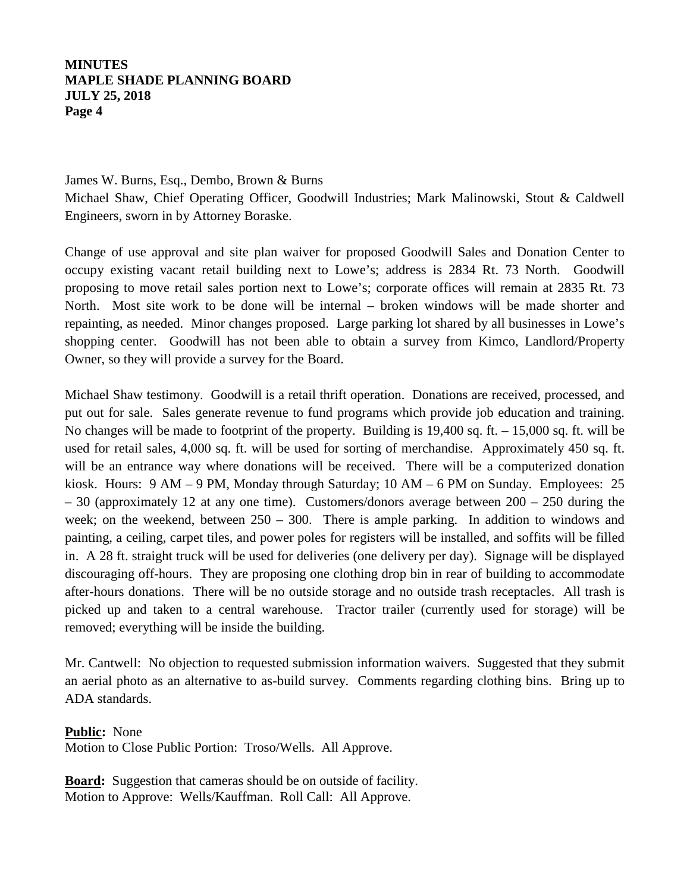# James W. Burns, Esq., Dembo, Brown & Burns Michael Shaw, Chief Operating Officer, Goodwill Industries; Mark Malinowski, Stout & Caldwell Engineers, sworn in by Attorney Boraske.

Change of use approval and site plan waiver for proposed Goodwill Sales and Donation Center to occupy existing vacant retail building next to Lowe's; address is 2834 Rt. 73 North. Goodwill proposing to move retail sales portion next to Lowe's; corporate offices will remain at 2835 Rt. 73 North. Most site work to be done will be internal – broken windows will be made shorter and repainting, as needed. Minor changes proposed. Large parking lot shared by all businesses in Lowe's shopping center. Goodwill has not been able to obtain a survey from Kimco, Landlord/Property Owner, so they will provide a survey for the Board.

Michael Shaw testimony. Goodwill is a retail thrift operation. Donations are received, processed, and put out for sale. Sales generate revenue to fund programs which provide job education and training. No changes will be made to footprint of the property. Building is 19,400 sq. ft. – 15,000 sq. ft. will be used for retail sales, 4,000 sq. ft. will be used for sorting of merchandise. Approximately 450 sq. ft. will be an entrance way where donations will be received. There will be a computerized donation kiosk. Hours: 9 AM – 9 PM, Monday through Saturday; 10 AM – 6 PM on Sunday. Employees: 25  $-30$  (approximately 12 at any one time). Customers/donors average between  $200 - 250$  during the week; on the weekend, between  $250 - 300$ . There is ample parking. In addition to windows and painting, a ceiling, carpet tiles, and power poles for registers will be installed, and soffits will be filled in. A 28 ft. straight truck will be used for deliveries (one delivery per day). Signage will be displayed discouraging off-hours. They are proposing one clothing drop bin in rear of building to accommodate after-hours donations. There will be no outside storage and no outside trash receptacles. All trash is picked up and taken to a central warehouse. Tractor trailer (currently used for storage) will be removed; everything will be inside the building.

Mr. Cantwell: No objection to requested submission information waivers. Suggested that they submit an aerial photo as an alternative to as-build survey. Comments regarding clothing bins. Bring up to ADA standards.

**Public :** None

Motion to Close Public Portion: Troso/Wells. All Approve.

Board: Suggestion that cameras should be on outside of facility. Motion to Approve: Wells/Kauffman. Roll Call: All Approve.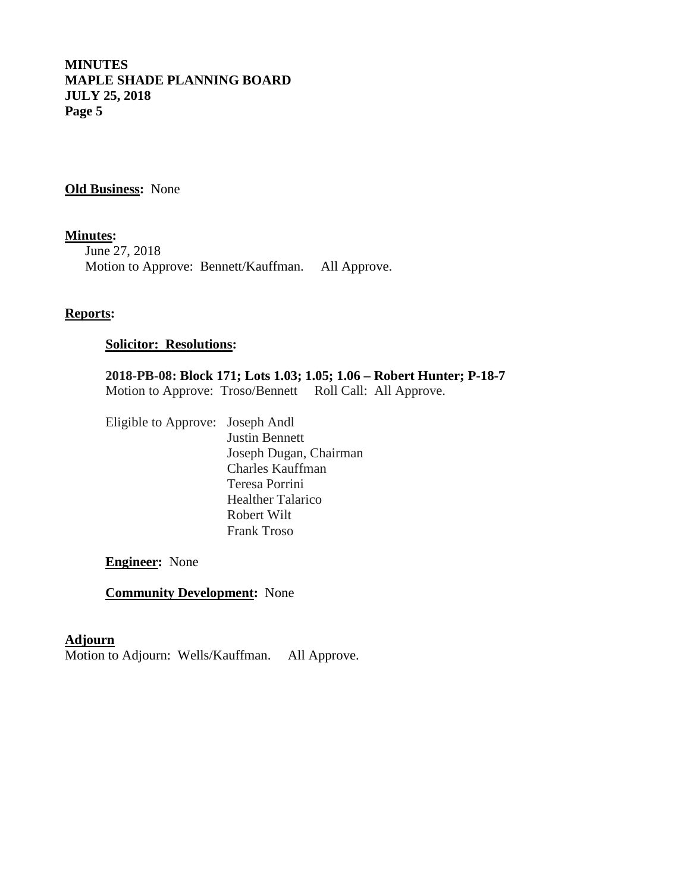**Old Business:** None

**Minutes :** June 27, 2018 Motion to Approve: Bennett/Kauffman. All Approve.

### **Reports:**

# **Solicitor: Resolutions:**

**2018-PB-08: Block 171; Lots 1.03; 1.05; 1.06 – Robert Hunter; P-18-7** Motion to Approve: Troso/Bennett Roll Call: All Approve.

Eligible to Approve: Joseph Andl Justin Bennett Joseph Dugan, Chairman Charles Kauffman Teresa Porrini Healther Talarico Robert Wilt Frank Troso

**Engineer:** None

**Community Development:** None

### **Adjourn**

Motion to Adjourn: Wells/Kauffman. All Approve.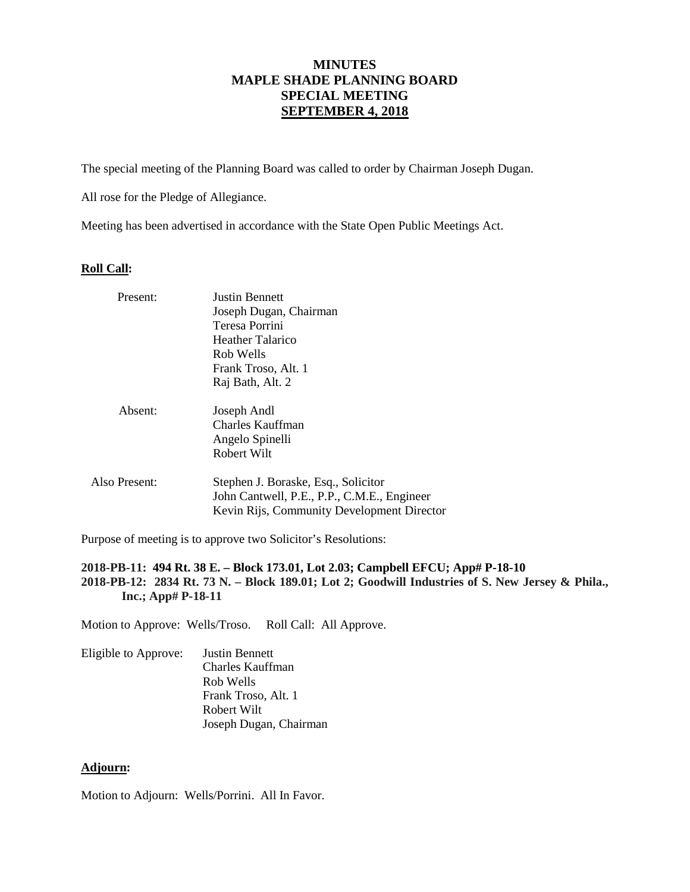# **MINUTES MAPLE SHADE PLANNING BOARD SPECIAL MEETING SEPTEMBER 4, 2018**

The special meeting of the Planning Board was called to order by Chairman Joseph Dugan.

All rose for the Pledge of Allegiance.

Meeting has been advertised in accordance with the State Open Public Meetings Act.

#### **Roll Call:**

| Present:      | <b>Justin Bennett</b><br>Joseph Dugan, Chairman<br>Teresa Porrini<br>Heather Talarico<br>Rob Wells<br>Frank Troso, Alt. 1<br>Raj Bath, Alt. 2 |
|---------------|-----------------------------------------------------------------------------------------------------------------------------------------------|
| Absent:       | Joseph Andl<br>Charles Kauffman<br>Angelo Spinelli<br>Robert Wilt                                                                             |
| Also Present: | Stephen J. Boraske, Esq., Solicitor<br>John Cantwell, P.E., P.P., C.M.E., Engineer<br>Kevin Rijs, Community Development Director              |

Purpose of meeting is to approve two Solicitor's Resolutions:

### **2018-PB-11: 494 Rt. 38 E. – Block 173.01, Lot 2.03; Campbell EFCU; App# P-18-10 2018-PB-12: 2834 Rt. 73 N. – Block 189.01; Lot 2; Goodwill Industries of S. New Jersey & Phila., Inc.; App# P-18-11**

Motion to Approve: Wells/Troso. Roll Call: All Approve.

Eligible to Approve: Justin Bennett Charles Kauffman Rob Wells Frank Troso, Alt. 1 Robert Wilt Joseph Dugan, Chairman

### **Adjourn:**

Motion to Adjourn: Wells/Porrini. All In Favor.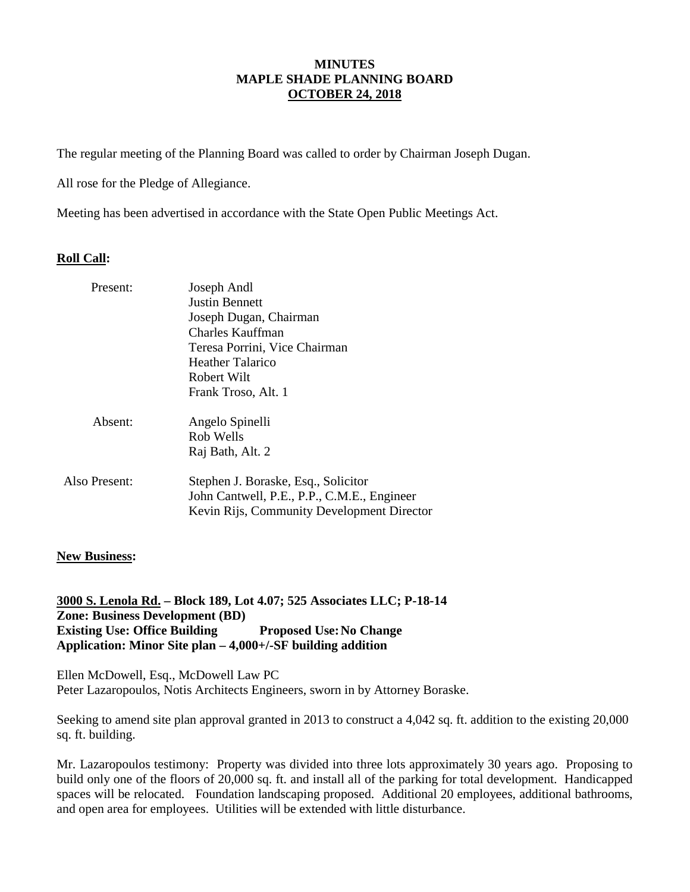## **MINUTES MAPLE SHADE PLANNING BOARD OCTOBER 24, 2018**

The regular meeting of the Planning Board was called to order by Chairman Joseph Dugan.

All rose for the Pledge of Allegiance.

Meeting has been advertised in accordance with the State Open Public Meetings Act.

## **Roll Call:**

| Present:      | Joseph Andl<br>Justin Bennett<br>Joseph Dugan, Chairman<br>Charles Kauffman<br>Teresa Porrini, Vice Chairman<br>Heather Talarico<br>Robert Wilt<br>Frank Troso, Alt. 1 |
|---------------|------------------------------------------------------------------------------------------------------------------------------------------------------------------------|
| Absent:       | Angelo Spinelli<br>Rob Wells<br>Raj Bath, Alt. 2                                                                                                                       |
| Also Present: | Stephen J. Boraske, Esq., Solicitor<br>John Cantwell, P.E., P.P., C.M.E., Engineer<br>Kevin Rijs, Community Development Director                                       |

## **New Business:**

**3000 S. Lenola Rd. – Block 189, Lot 4.07; 525 Associates LLC; P-18-14 Zone: Business Development (BD) Existing Use: Office Building Proposed Use: No Change Application: Minor Site plan – 4,000+/-SF building addition**

Ellen McDowell, Esq., McDowell Law PC Peter Lazaropoulos, Notis Architects Engineers, sworn in by Attorney Boraske.

Seeking to amend site plan approval granted in 2013 to construct a 4,042 sq. ft. addition to the existing 20,000 sq. ft. building.

Mr. Lazaropoulos testimony: Property was divided into three lots approximately 30 years ago. Proposing to build only one of the floors of 20,000 sq. ft. and install all of the parking for total development. Handicapped spaces will be relocated. Foundation landscaping proposed. Additional 20 employees, additional bathrooms, and open area for employees. Utilities will be extended with little disturbance.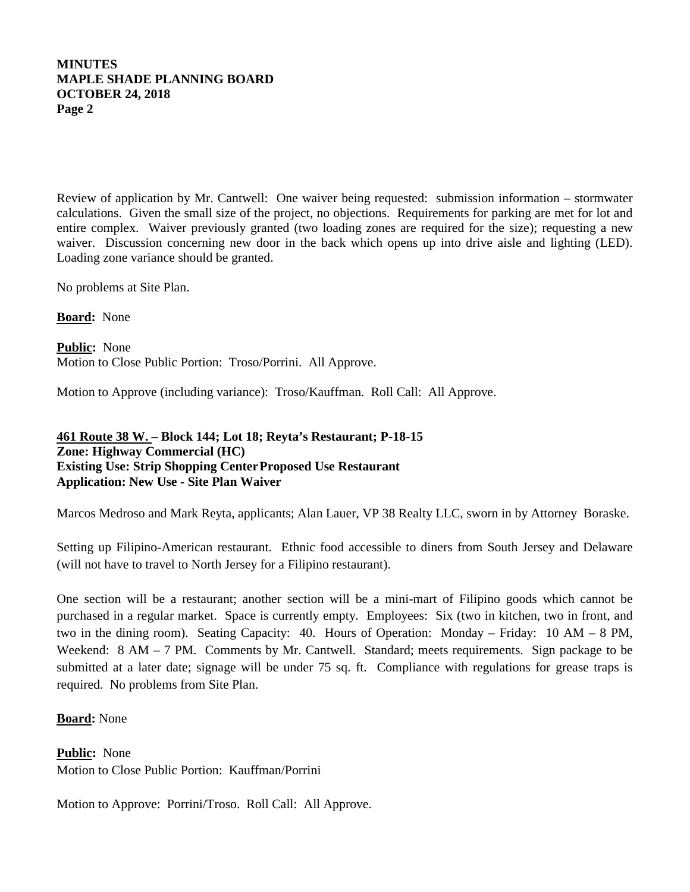## **MINUTES MAPLE SHADE PLANNING BOARD OCTOBER 24, 2018 Page 2**

Review of application by Mr. Cantwell: One waiver being requested: submission information – stormwater calculations. Given the small size of the project, no objections. Requirements for parking are met for lot and entire complex. Waiver previously granted (two loading zones are required for the size); requesting a new waiver. Discussion concerning new door in the back which opens up into drive aisle and lighting (LED). Loading zone variance should be granted.

No problems at Site Plan.

**Board:** None

**Public :** None Motion to Close Public Portion: Troso/Porrini. All Approve.

Motion to Approve (including variance): Troso/Kauffman. Roll Call: All Approve.

## **461 Route 38 W. – Block 144; Lot 18; Reyta's Restaurant; P-18-15 Zone: Highway Commercial (HC) Existing Use: Strip Shopping CenterProposed Use Restaurant Application: New Use - Site Plan Waiver**

Marcos Medroso and Mark Reyta, applicants; Alan Lauer, VP 38 Realty LLC, sworn in by Attorney Boraske.

Setting up Filipino-American restaurant. Ethnic food accessible to diners from South Jersey and Delaware (will not have to travel to North Jersey for a Filipino restaurant).

One section will be a restaurant; another section will be a mini-mart of Filipino goods which cannot be purchased in a regular market. Space is currently empty. Employees: Six (two in kitchen, two in front, and two in the dining room). Seating Capacity: 40. Hours of Operation: Monday – Friday: 10 AM – 8 PM, Weekend: 8 AM – 7 PM. Comments by Mr. Cantwell. Standard; meets requirements. Sign package to be submitted at a later date; signage will be under 75 sq. ft. Compliance with regulations for grease traps is required. No problems from Site Plan.

## **Board:** None

**Public :** None Motion to Close Public Portion: Kauffman/Porrini

Motion to Approve: Porrini/Troso. Roll Call: All Approve.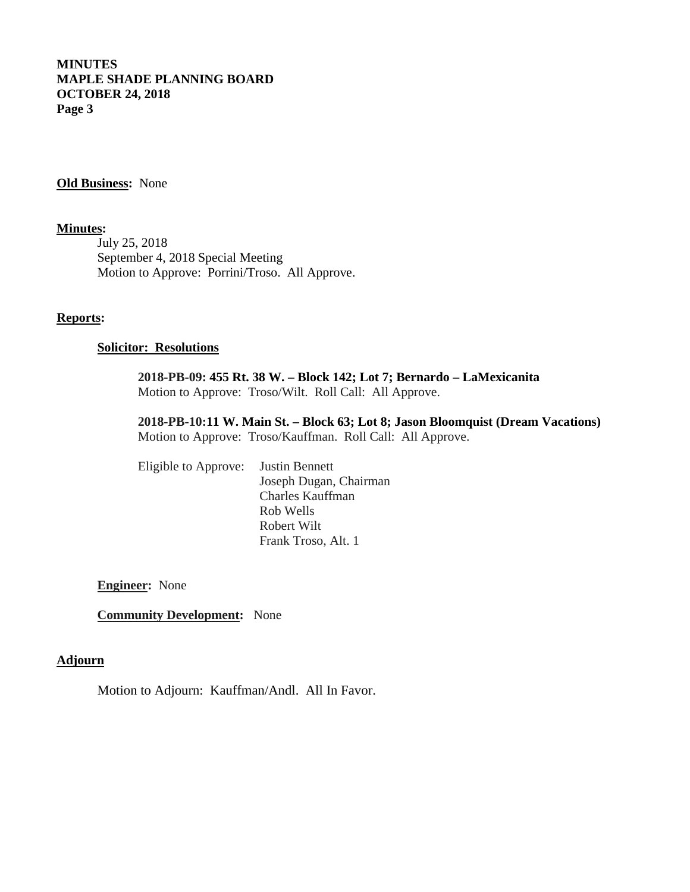## **MINUTES MAPLE SHADE PLANNING BOARD OCTOBER 24, 2018 Page 3**

**Old Business:** None

### **Minutes :**

July 25, 2018 September 4, 2018 Special Meeting Motion to Approve: Porrini/Troso. All Approve.

#### **Reports:**

### **Solicitor: Resolutions**

**2018-PB-09: 455 Rt. 38 W. – Block 142; Lot 7; Bernardo – LaMexicanita** Motion to Approve: Troso/Wilt. Roll Call: All Approve.

**2018-PB-10:11 W. Main St. – Block 63; Lot 8; Jason Bloomquist (Dream Vacations)** Motion to Approve: Troso/Kauffman. Roll Call: All Approve.

Eligible to Approve: Justin Bennett Joseph Dugan, Chairman Charles Kauffman Rob Wells Robert Wilt Frank Troso, Alt. 1

**Engineer:** None

**Community Development:** None

### **Adjourn**

Motion to Adjourn: Kauffman/Andl. All In Favor.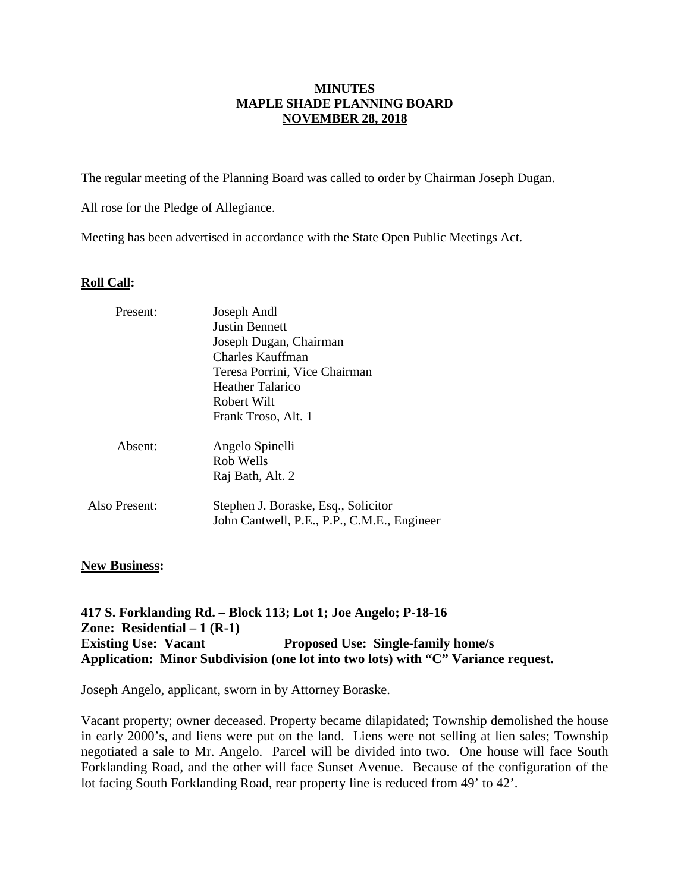### **MINUTES MAPLE SHADE PLANNING BOARD NOVEMBER 28, 2018**

The regular meeting of the Planning Board was called to order by Chairman Joseph Dugan.

All rose for the Pledge of Allegiance.

Meeting has been advertised in accordance with the State Open Public Meetings Act.

### **Roll Call:**

| Present:      | Joseph Andl                                                                        |  |  |
|---------------|------------------------------------------------------------------------------------|--|--|
|               | <b>Justin Bennett</b><br>Joseph Dugan, Chairman<br>Charles Kauffman                |  |  |
|               |                                                                                    |  |  |
|               |                                                                                    |  |  |
|               | Teresa Porrini, Vice Chairman                                                      |  |  |
|               | Heather Talarico                                                                   |  |  |
|               | Robert Wilt                                                                        |  |  |
|               | Frank Troso, Alt. 1                                                                |  |  |
| Absent:       | Angelo Spinelli                                                                    |  |  |
|               | Rob Wells                                                                          |  |  |
|               | Raj Bath, Alt. 2                                                                   |  |  |
| Also Present: | Stephen J. Boraske, Esq., Solicitor<br>John Cantwell, P.E., P.P., C.M.E., Engineer |  |  |
|               |                                                                                    |  |  |

## **New Business:**

**417 S. Forklanding Rd. – Block 113; Lot 1; Joe Angelo; P-18-16 Zone: Residential – 1 (R-1) Existing Use: Vacant Proposed Use: Single-family home/s Application: Minor Subdivision (one lot into two lots) with "C" Variance request.**

Joseph Angelo, applicant, sworn in by Attorney Boraske.

Vacant property; owner deceased. Property became dilapidated; Township demolished the house in early 2000's, and liens were put on the land. Liens were not selling at lien sales; Township negotiated a sale to Mr. Angelo. Parcel will be divided into two. One house will face South Forklanding Road, and the other will face Sunset Avenue. Because of the configuration of the lot facing South Forklanding Road, rear property line is reduced from 49' to 42'.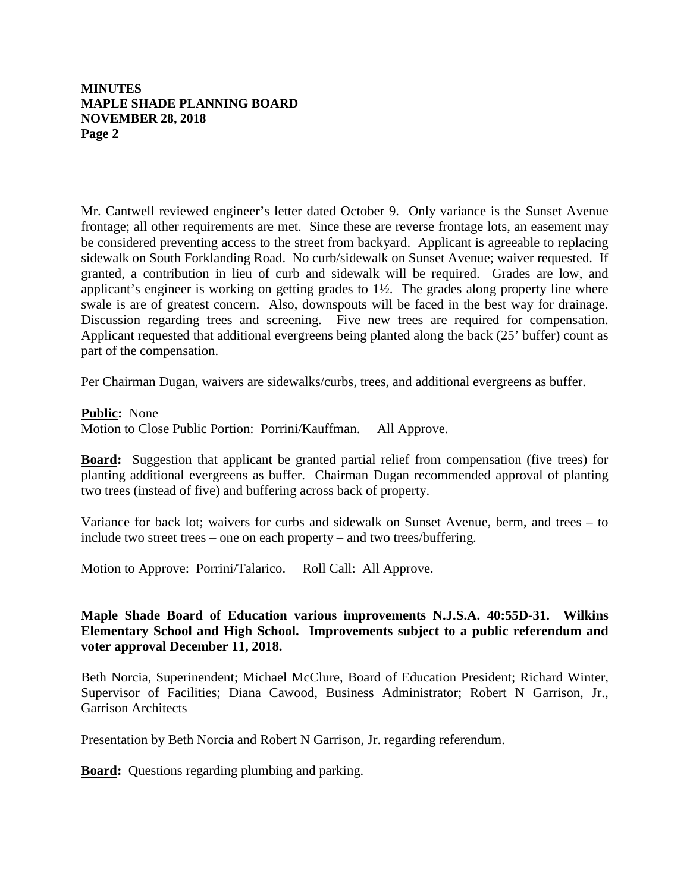## **MINUTES MAPLE SHADE PLANNING BOARD NOVEMBER 28, 2018 Page 2**

Mr. Cantwell reviewed engineer's letter dated October 9. Only variance is the Sunset Avenue frontage; all other requirements are met. Since these are reverse frontage lots, an easement may be considered preventing access to the street from backyard. Applicant is agreeable to replacing sidewalk on South Forklanding Road. No curb/sidewalk on Sunset Avenue; waiver requested. If granted, a contribution in lieu of curb and sidewalk will be required. Grades are low, and applicant's engineer is working on getting grades to 1½. The grades along property line where swale is are of greatest concern. Also, downspouts will be faced in the best way for drainage. Discussion regarding trees and screening. Five new trees are required for compensation. Applicant requested that additional evergreens being planted along the back (25' buffer) count as part of the compensation.

Per Chairman Dugan, waivers are sidewalks/curbs, trees, and additional evergreens as buffer.

**Public :** None

Motion to Close Public Portion: Porrini/Kauffman. All Approve.

**Board:** Suggestion that applicant be granted partial relief from compensation (five trees) for planting additional evergreens as buffer. Chairman Dugan recommended approval of planting two trees (instead of five) and buffering across back of property.

Variance for back lot; waivers for curbs and sidewalk on Sunset Avenue, berm, and trees – to include two street trees – one on each property – and two trees/buffering.

Motion to Approve: Porrini/Talarico. Roll Call: All Approve.

# **Maple Shade Board of Education various improvements N.J.S.A. 40:55D-31. Wilkins Elementary School and High School. Improvements subject to a public referendum and voter approval December 11, 2018.**

Beth Norcia, Superinendent; Michael McClure, Board of Education President; Richard Winter, Supervisor of Facilities; Diana Cawood, Business Administrator; Robert N Garrison, Jr., Garrison Architects

Presentation by Beth Norcia and Robert N Garrison, Jr. regarding referendum.

**Board:** Questions regarding plumbing and parking.